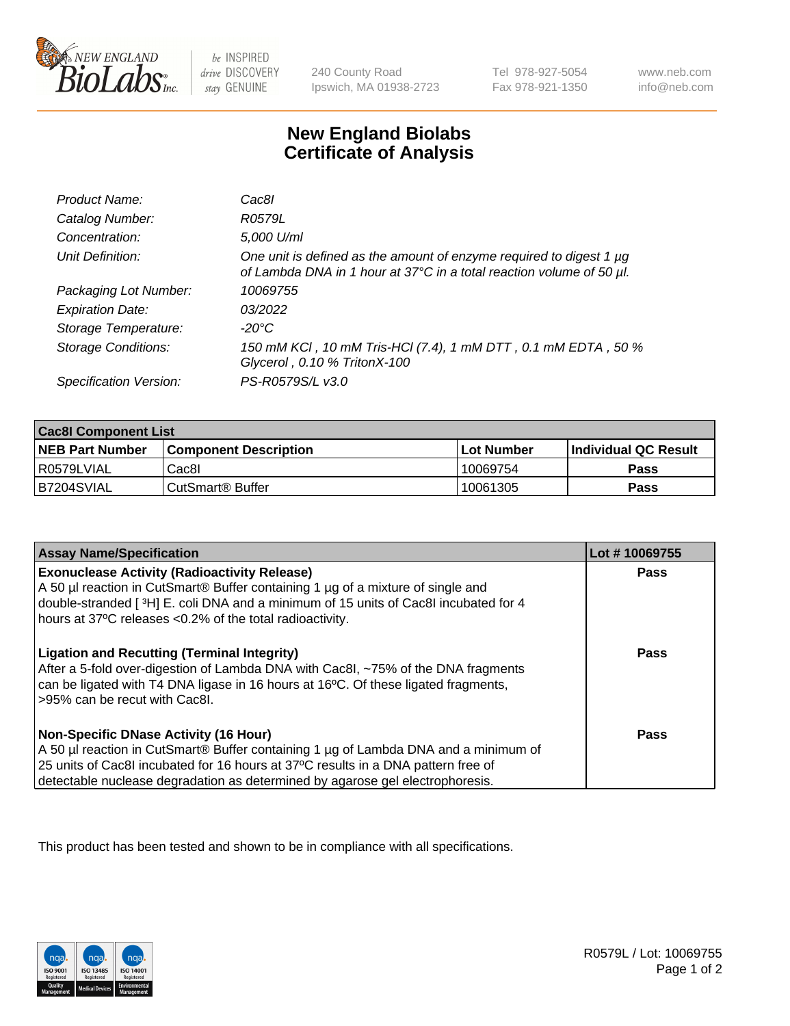

 $be$  INSPIRED drive DISCOVERY stay GENUINE

240 County Road Ipswich, MA 01938-2723 Tel 978-927-5054 Fax 978-921-1350 www.neb.com info@neb.com

## **New England Biolabs Certificate of Analysis**

| Product Name:              | Cac8l                                                                                                                                       |
|----------------------------|---------------------------------------------------------------------------------------------------------------------------------------------|
| Catalog Number:            | R0579L                                                                                                                                      |
| Concentration:             | 5,000 U/ml                                                                                                                                  |
| Unit Definition:           | One unit is defined as the amount of enzyme required to digest 1 µg<br>of Lambda DNA in 1 hour at 37°C in a total reaction volume of 50 µl. |
| Packaging Lot Number:      | 10069755                                                                                                                                    |
| <b>Expiration Date:</b>    | 03/2022                                                                                                                                     |
| Storage Temperature:       | $-20^{\circ}$ C                                                                                                                             |
| <b>Storage Conditions:</b> | 150 mM KCI, 10 mM Tris-HCI (7.4), 1 mM DTT, 0.1 mM EDTA, 50 %<br>Glycerol, 0.10 % TritonX-100                                               |
| Specification Version:     | PS-R0579S/L v3.0                                                                                                                            |

| <b>Cac8I Component List</b> |                         |             |                             |  |  |
|-----------------------------|-------------------------|-------------|-----------------------------|--|--|
| <b>NEB Part Number</b>      | l Component Description | ⊺Lot Number | <b>Individual QC Result</b> |  |  |
| I R0579LVIAL                | Cac8I                   | 10069754    | Pass                        |  |  |
| B7204SVIAL                  | l CutSmart® Buffer      | 10061305    | Pass                        |  |  |

| <b>Assay Name/Specification</b>                                                                                                                                                                                                                                                                                       | Lot #10069755 |
|-----------------------------------------------------------------------------------------------------------------------------------------------------------------------------------------------------------------------------------------------------------------------------------------------------------------------|---------------|
| <b>Exonuclease Activity (Radioactivity Release)</b><br>A 50 µl reaction in CutSmart® Buffer containing 1 µg of a mixture of single and<br>double-stranded [3H] E. coli DNA and a minimum of 15 units of Cac8I incubated for 4<br>hours at 37°C releases <0.2% of the total radioactivity.                             | Pass          |
| <b>Ligation and Recutting (Terminal Integrity)</b><br>After a 5-fold over-digestion of Lambda DNA with Cac8I, ~75% of the DNA fragments<br>can be ligated with T4 DNA ligase in 16 hours at 16°C. Of these ligated fragments,<br>>95% can be recut with Cac8I.                                                        | Pass          |
| <b>Non-Specific DNase Activity (16 Hour)</b><br>A 50 µl reaction in CutSmart <sup>®</sup> Buffer containing 1 µg of Lambda DNA and a minimum of<br>25 units of Cac8I incubated for 16 hours at 37°C results in a DNA pattern free of<br>detectable nuclease degradation as determined by agarose gel electrophoresis. | <b>Pass</b>   |

This product has been tested and shown to be in compliance with all specifications.